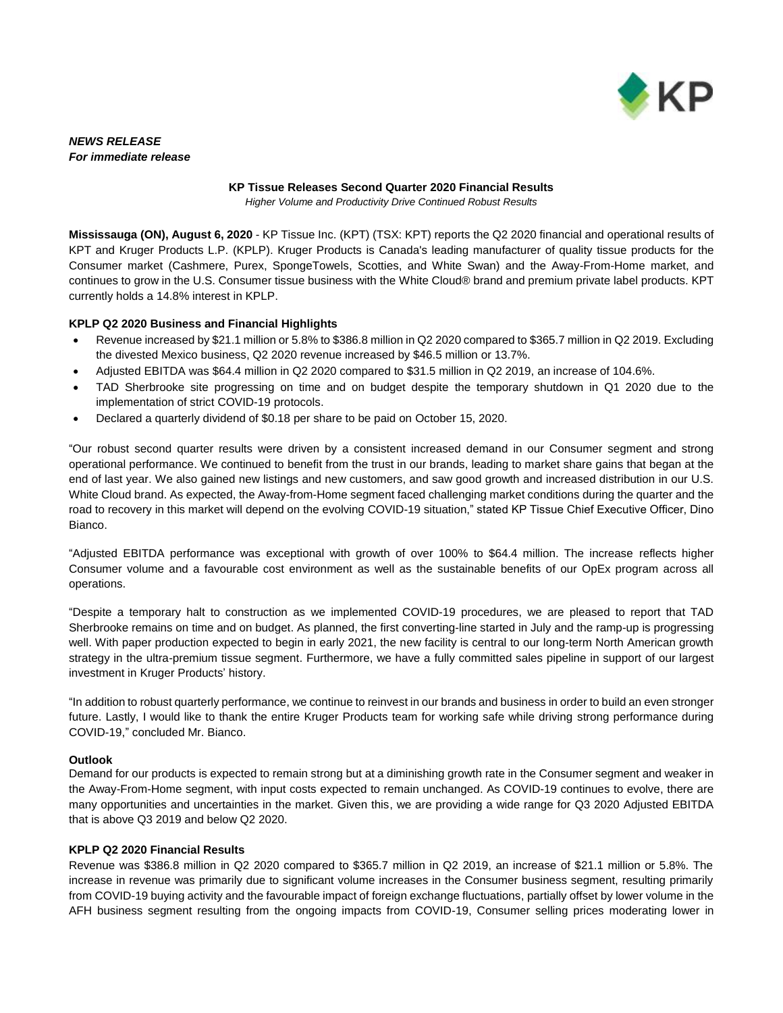

*NEWS RELEASE For immediate release*

# **KP Tissue Releases Second Quarter 2020 Financial Results**

*Higher Volume and Productivity Drive Continued Robust Results* 

**Mississauga (ON), August 6, 2020** - KP Tissue Inc. (KPT) (TSX: KPT) reports the Q2 2020 financial and operational results of KPT and Kruger Products L.P. (KPLP). Kruger Products is Canada's leading manufacturer of quality tissue products for the Consumer market (Cashmere, Purex, SpongeTowels, Scotties, and White Swan) and the Away-From-Home market, and continues to grow in the U.S. Consumer tissue business with the White Cloud® brand and premium private label products. KPT currently holds a 14.8% interest in KPLP.

## **KPLP Q2 2020 Business and Financial Highlights**

- Revenue increased by \$21.1 million or 5.8% to \$386.8 million in Q2 2020 compared to \$365.7 million in Q2 2019. Excluding the divested Mexico business, Q2 2020 revenue increased by \$46.5 million or 13.7%.
- Adjusted EBITDA was \$64.4 million in Q2 2020 compared to \$31.5 million in Q2 2019, an increase of 104.6%.
- TAD Sherbrooke site progressing on time and on budget despite the temporary shutdown in Q1 2020 due to the implementation of strict COVID-19 protocols.
- Declared a quarterly dividend of \$0.18 per share to be paid on October 15, 2020.

"Our robust second quarter results were driven by a consistent increased demand in our Consumer segment and strong operational performance. We continued to benefit from the trust in our brands, leading to market share gains that began at the end of last year. We also gained new listings and new customers, and saw good growth and increased distribution in our U.S. White Cloud brand. As expected, the Away-from-Home segment faced challenging market conditions during the quarter and the road to recovery in this market will depend on the evolving COVID-19 situation," stated KP Tissue Chief Executive Officer, Dino Bianco.

"Adjusted EBITDA performance was exceptional with growth of over 100% to \$64.4 million. The increase reflects higher Consumer volume and a favourable cost environment as well as the sustainable benefits of our OpEx program across all operations.

"Despite a temporary halt to construction as we implemented COVID-19 procedures, we are pleased to report that TAD Sherbrooke remains on time and on budget. As planned, the first converting-line started in July and the ramp-up is progressing well. With paper production expected to begin in early 2021, the new facility is central to our long-term North American growth strategy in the ultra-premium tissue segment. Furthermore, we have a fully committed sales pipeline in support of our largest investment in Kruger Products' history.

"In addition to robust quarterly performance, we continue to reinvest in our brands and business in order to build an even stronger future. Lastly, I would like to thank the entire Kruger Products team for working safe while driving strong performance during COVID-19," concluded Mr. Bianco.

## **Outlook**

Demand for our products is expected to remain strong but at a diminishing growth rate in the Consumer segment and weaker in the Away-From-Home segment, with input costs expected to remain unchanged. As COVID-19 continues to evolve, there are many opportunities and uncertainties in the market. Given this, we are providing a wide range for Q3 2020 Adjusted EBITDA that is above Q3 2019 and below Q2 2020.

## **KPLP Q2 2020 Financial Results**

Revenue was \$386.8 million in Q2 2020 compared to \$365.7 million in Q2 2019, an increase of \$21.1 million or 5.8%. The increase in revenue was primarily due to significant volume increases in the Consumer business segment, resulting primarily from COVID-19 buying activity and the favourable impact of foreign exchange fluctuations, partially offset by lower volume in the AFH business segment resulting from the ongoing impacts from COVID-19, Consumer selling prices moderating lower in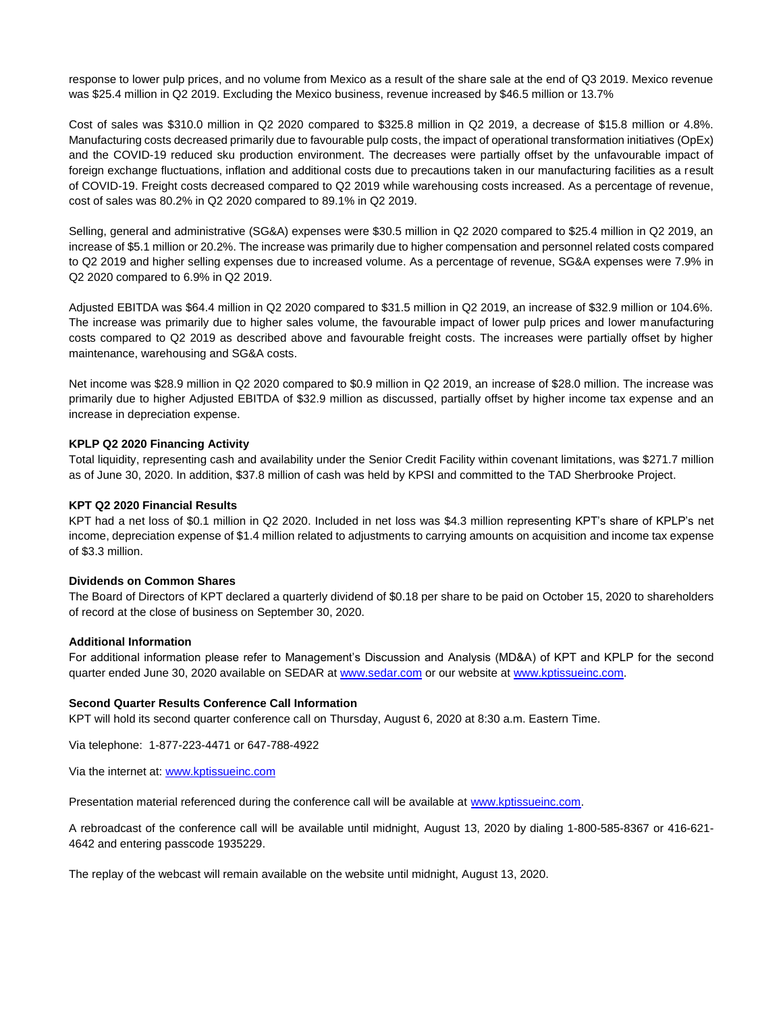response to lower pulp prices, and no volume from Mexico as a result of the share sale at the end of Q3 2019. Mexico revenue was \$25.4 million in Q2 2019. Excluding the Mexico business, revenue increased by \$46.5 million or 13.7%

Cost of sales was \$310.0 million in Q2 2020 compared to \$325.8 million in Q2 2019, a decrease of \$15.8 million or 4.8%. Manufacturing costs decreased primarily due to favourable pulp costs, the impact of operational transformation initiatives (OpEx) and the COVID-19 reduced sku production environment. The decreases were partially offset by the unfavourable impact of foreign exchange fluctuations, inflation and additional costs due to precautions taken in our manufacturing facilities as a result of COVID-19. Freight costs decreased compared to Q2 2019 while warehousing costs increased. As a percentage of revenue, cost of sales was 80.2% in Q2 2020 compared to 89.1% in Q2 2019.

Selling, general and administrative (SG&A) expenses were \$30.5 million in Q2 2020 compared to \$25.4 million in Q2 2019, an increase of \$5.1 million or 20.2%. The increase was primarily due to higher compensation and personnel related costs compared to Q2 2019 and higher selling expenses due to increased volume. As a percentage of revenue, SG&A expenses were 7.9% in Q2 2020 compared to 6.9% in Q2 2019.

Adjusted EBITDA was \$64.4 million in Q2 2020 compared to \$31.5 million in Q2 2019, an increase of \$32.9 million or 104.6%. The increase was primarily due to higher sales volume, the favourable impact of lower pulp prices and lower manufacturing costs compared to Q2 2019 as described above and favourable freight costs. The increases were partially offset by higher maintenance, warehousing and SG&A costs.

Net income was \$28.9 million in Q2 2020 compared to \$0.9 million in Q2 2019, an increase of \$28.0 million. The increase was primarily due to higher Adjusted EBITDA of \$32.9 million as discussed, partially offset by higher income tax expense and an increase in depreciation expense.

## **KPLP Q2 2020 Financing Activity**

Total liquidity, representing cash and availability under the Senior Credit Facility within covenant limitations, was \$271.7 million as of June 30, 2020. In addition, \$37.8 million of cash was held by KPSI and committed to the TAD Sherbrooke Project.

#### **KPT Q2 2020 Financial Results**

KPT had a net loss of \$0.1 million in Q2 2020. Included in net loss was \$4.3 million representing KPT's share of KPLP's net income, depreciation expense of \$1.4 million related to adjustments to carrying amounts on acquisition and income tax expense of \$3.3 million.

## **Dividends on Common Shares**

The Board of Directors of KPT declared a quarterly dividend of \$0.18 per share to be paid on October 15, 2020 to shareholders of record at the close of business on September 30, 2020.

#### **Additional Information**

For additional information please refer to Management's Discussion and Analysis (MD&A) of KPT and KPLP for the second quarter ended June 30, 2020 available on SEDAR at [www.sedar.com](http://www.sedar.com/) or our website a[t www.kptissueinc.com.](http://www.kptissueinc.com/)

#### **Second Quarter Results Conference Call Information**

KPT will hold its second quarter conference call on Thursday, August 6, 2020 at 8:30 a.m. Eastern Time.

Via telephone: 1-877-223-4471 or 647-788-4922

Via the internet at: [www.kptissueinc.com](http://www.kptissueinc.com/)

Presentation material referenced during the conference call will be available at [www.kptissueinc.com.](http://www.kptissueinc.com/)

A rebroadcast of the conference call will be available until midnight, August 13, 2020 by dialing 1-800-585-8367 or 416-621- 4642 and entering passcode 1935229.

The replay of the webcast will remain available on the website until midnight, August 13, 2020.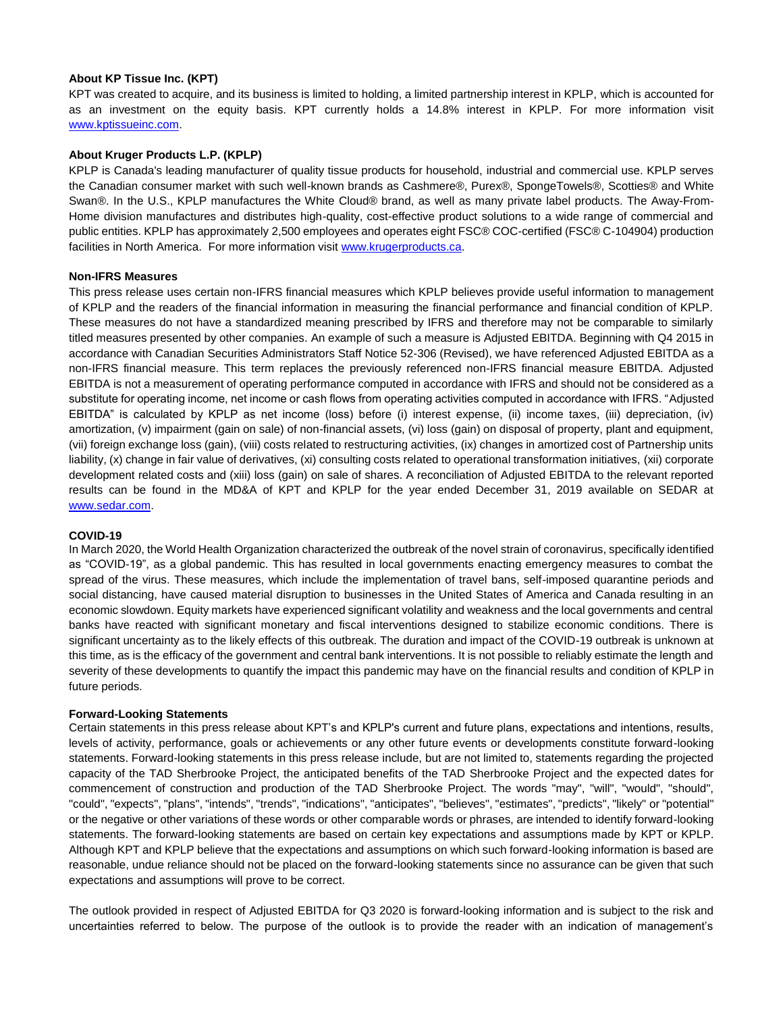## **About KP Tissue Inc. (KPT)**

KPT was created to acquire, and its business is limited to holding, a limited partnership interest in KPLP, which is accounted for as an investment on the equity basis. KPT currently holds a 14.8% interest in KPLP. For more information visit [www.kptissueinc.com.](http://www.kptissueinc.com/)

## **About Kruger Products L.P. (KPLP)**

KPLP is Canada's leading manufacturer of quality tissue products for household, industrial and commercial use. KPLP serves the Canadian consumer market with such well-known brands as Cashmere®, Purex®, SpongeTowels®, Scotties® and White Swan®. In the U.S., KPLP manufactures the White Cloud® brand, as well as many private label products. The Away-From-Home division manufactures and distributes high-quality, cost-effective product solutions to a wide range of commercial and public entities. KPLP has approximately 2,500 employees and operates eight FSC® COC-certified (FSC® C-104904) production facilities in North America. For more information visit [www.krugerproducts.ca.](http://www.krugerproducts.ca/)

## **Non-IFRS Measures**

This press release uses certain non-IFRS financial measures which KPLP believes provide useful information to management of KPLP and the readers of the financial information in measuring the financial performance and financial condition of KPLP. These measures do not have a standardized meaning prescribed by IFRS and therefore may not be comparable to similarly titled measures presented by other companies. An example of such a measure is Adjusted EBITDA. Beginning with Q4 2015 in accordance with Canadian Securities Administrators Staff Notice 52-306 (Revised), we have referenced Adjusted EBITDA as a non-IFRS financial measure. This term replaces the previously referenced non-IFRS financial measure EBITDA. Adjusted EBITDA is not a measurement of operating performance computed in accordance with IFRS and should not be considered as a substitute for operating income, net income or cash flows from operating activities computed in accordance with IFRS. "Adjusted EBITDA" is calculated by KPLP as net income (loss) before (i) interest expense, (ii) income taxes, (iii) depreciation, (iv) amortization, (v) impairment (gain on sale) of non-financial assets, (vi) loss (gain) on disposal of property, plant and equipment, (vii) foreign exchange loss (gain), (viii) costs related to restructuring activities, (ix) changes in amortized cost of Partnership units liability, (x) change in fair value of derivatives, (xi) consulting costs related to operational transformation initiatives, (xii) corporate development related costs and (xiii) loss (gain) on sale of shares. A reconciliation of Adjusted EBITDA to the relevant reported results can be found in the MD&A of KPT and KPLP for the year ended December 31, 2019 available on SEDAR at [www.sedar.com.](http://www.sedar.com/)

#### **COVID-19**

In March 2020, the World Health Organization characterized the outbreak of the novel strain of coronavirus, specifically identified as "COVID-19", as a global pandemic. This has resulted in local governments enacting emergency measures to combat the spread of the virus. These measures, which include the implementation of travel bans, self-imposed quarantine periods and social distancing, have caused material disruption to businesses in the United States of America and Canada resulting in an economic slowdown. Equity markets have experienced significant volatility and weakness and the local governments and central banks have reacted with significant monetary and fiscal interventions designed to stabilize economic conditions. There is significant uncertainty as to the likely effects of this outbreak. The duration and impact of the COVID-19 outbreak is unknown at this time, as is the efficacy of the government and central bank interventions. It is not possible to reliably estimate the length and severity of these developments to quantify the impact this pandemic may have on the financial results and condition of KPLP in future periods.

## **Forward-Looking Statements**

Certain statements in this press release about KPT's and KPLP's current and future plans, expectations and intentions, results, levels of activity, performance, goals or achievements or any other future events or developments constitute forward-looking statements. Forward-looking statements in this press release include, but are not limited to, statements regarding the projected capacity of the TAD Sherbrooke Project, the anticipated benefits of the TAD Sherbrooke Project and the expected dates for commencement of construction and production of the TAD Sherbrooke Project. The words "may", "will", "would", "should", "could", "expects", "plans", "intends", "trends", "indications", "anticipates", "believes", "estimates", "predicts", "likely" or "potential" or the negative or other variations of these words or other comparable words or phrases, are intended to identify forward-looking statements. The forward-looking statements are based on certain key expectations and assumptions made by KPT or KPLP. Although KPT and KPLP believe that the expectations and assumptions on which such forward-looking information is based are reasonable, undue reliance should not be placed on the forward-looking statements since no assurance can be given that such expectations and assumptions will prove to be correct.

The outlook provided in respect of Adjusted EBITDA for Q3 2020 is forward-looking information and is subject to the risk and uncertainties referred to below. The purpose of the outlook is to provide the reader with an indication of management's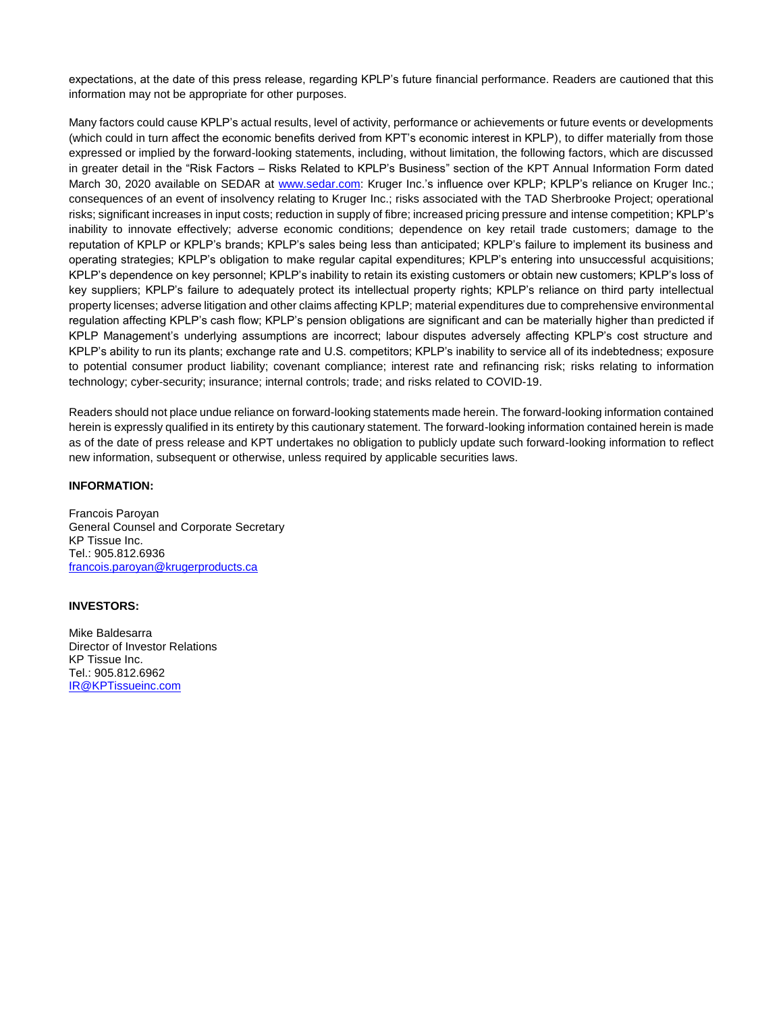expectations, at the date of this press release, regarding KPLP's future financial performance. Readers are cautioned that this information may not be appropriate for other purposes.

Many factors could cause KPLP's actual results, level of activity, performance or achievements or future events or developments (which could in turn affect the economic benefits derived from KPT's economic interest in KPLP), to differ materially from those expressed or implied by the forward-looking statements, including, without limitation, the following factors, which are discussed in greater detail in the "Risk Factors – Risks Related to KPLP's Business" section of the KPT Annual Information Form dated March 30, 2020 available on SEDAR at [www.sedar.com:](http://www.sedar.com/) Kruger Inc.'s influence over KPLP; KPLP's reliance on Kruger Inc.; consequences of an event of insolvency relating to Kruger Inc.; risks associated with the TAD Sherbrooke Project; operational risks; significant increases in input costs; reduction in supply of fibre; increased pricing pressure and intense competition; KPLP's inability to innovate effectively; adverse economic conditions; dependence on key retail trade customers; damage to the reputation of KPLP or KPLP's brands; KPLP's sales being less than anticipated; KPLP's failure to implement its business and operating strategies; KPLP's obligation to make regular capital expenditures; KPLP's entering into unsuccessful acquisitions; KPLP's dependence on key personnel; KPLP's inability to retain its existing customers or obtain new customers; KPLP's loss of key suppliers; KPLP's failure to adequately protect its intellectual property rights; KPLP's reliance on third party intellectual property licenses; adverse litigation and other claims affecting KPLP; material expenditures due to comprehensive environmental regulation affecting KPLP's cash flow; KPLP's pension obligations are significant and can be materially higher than predicted if KPLP Management's underlying assumptions are incorrect; labour disputes adversely affecting KPLP's cost structure and KPLP's ability to run its plants; exchange rate and U.S. competitors; KPLP's inability to service all of its indebtedness; exposure to potential consumer product liability; covenant compliance; interest rate and refinancing risk; risks relating to information technology; cyber-security; insurance; internal controls; trade; and risks related to COVID-19.

Readers should not place undue reliance on forward-looking statements made herein. The forward-looking information contained herein is expressly qualified in its entirety by this cautionary statement. The forward-looking information contained herein is made as of the date of press release and KPT undertakes no obligation to publicly update such forward-looking information to reflect new information, subsequent or otherwise, unless required by applicable securities laws.

#### **INFORMATION:**

Francois Paroyan General Counsel and Corporate Secretary KP Tissue Inc. Tel.: 905.812.6936 [francois.paroyan@krugerproducts.ca](mailto:francois.paroyan@krugerproducts.ca)

## **INVESTORS:**

Mike Baldesarra Director of Investor Relations KP Tissue Inc. Tel.: 905.812.6962 [IR@KPTissueinc.com](mailto:IR@KPTissueinc.com)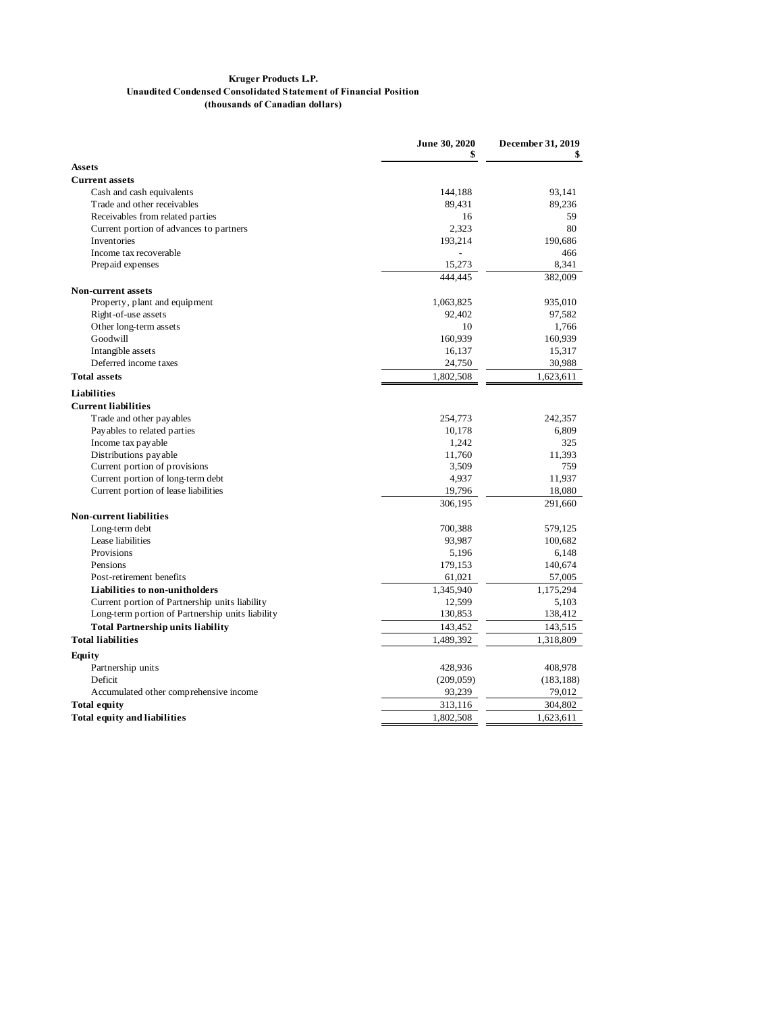#### **Kruger Products L.P. Unaudited Condensed Consolidated Statement of Financial Position (thousands of Canadian dollars)**

|                                                          | June 30, 2020     | December 31, 2019 |
|----------------------------------------------------------|-------------------|-------------------|
|                                                          | \$                | \$                |
| <b>Assets</b>                                            |                   |                   |
| <b>Current assets</b>                                    |                   |                   |
| Cash and cash equivalents<br>Trade and other receivables | 144,188<br>89,431 | 93,141<br>89,236  |
|                                                          | 16                | 59                |
| Receivables from related parties                         |                   | 80                |
| Current portion of advances to partners<br>Inventories   | 2,323             | 190.686           |
| Income tax recoverable                                   | 193,214           | 466               |
|                                                          | 15,273            | 8,341             |
| Prepaid expenses                                         |                   |                   |
|                                                          | 444,445           | 382,009           |
| <b>Non-current assets</b>                                |                   |                   |
| Property, plant and equipment                            | 1,063,825         | 935,010           |
| Right-of-use assets                                      | 92,402            | 97,582            |
| Other long-term assets                                   | 10                | 1,766             |
| Goodwill                                                 | 160,939           | 160,939           |
| Intangible assets                                        | 16,137            | 15,317            |
| Deferred income taxes                                    | 24,750            | 30,988            |
| <b>Total assets</b>                                      | 1,802,508         | 1,623,611         |
| Liabilities                                              |                   |                   |
| <b>Current liabilities</b>                               |                   |                   |
| Trade and other payables                                 | 254,773           | 242,357           |
| Payables to related parties                              | 10,178            | 6,809             |
| Income tax pay able                                      | 1,242             | 325               |
| Distributions payable                                    | 11,760            | 11,393            |
| Current portion of provisions                            | 3,509             | 759               |
| Current portion of long-term debt                        | 4,937             | 11,937            |
| Current portion of lease liabilities                     | 19,796            | 18,080            |
|                                                          | 306,195           | 291,660           |
| <b>Non-current liabilities</b>                           |                   |                   |
| Long-term debt                                           | 700,388           | 579,125           |
| Lease liabilities                                        | 93,987            | 100,682           |
| Provisions                                               | 5,196             | 6,148             |
| Pensions                                                 | 179,153           | 140,674           |
| Post-retirement benefits                                 | 61,021            | 57,005            |
| Liabilities to non-unitholders                           | 1,345,940         | 1,175,294         |
| Current portion of Partnership units liability           | 12,599            | 5,103             |
| Long-term portion of Partnership units liability         | 130,853           | 138,412           |
| <b>Total Partnership units liability</b>                 | 143,452           | 143,515           |
| <b>Total liabilities</b>                                 | 1,489,392         | 1,318,809         |
| Equity                                                   |                   |                   |
| Partnership units                                        | 428,936           | 408,978           |
| Deficit                                                  | (209, 059)        | (183, 188)        |
| Accumulated other comprehensive income                   | 93,239            | 79,012            |
| <b>Total equity</b>                                      | 313,116           | 304,802           |
| <b>Total equity and liabilities</b>                      | 1,802,508         | 1,623,611         |
|                                                          |                   |                   |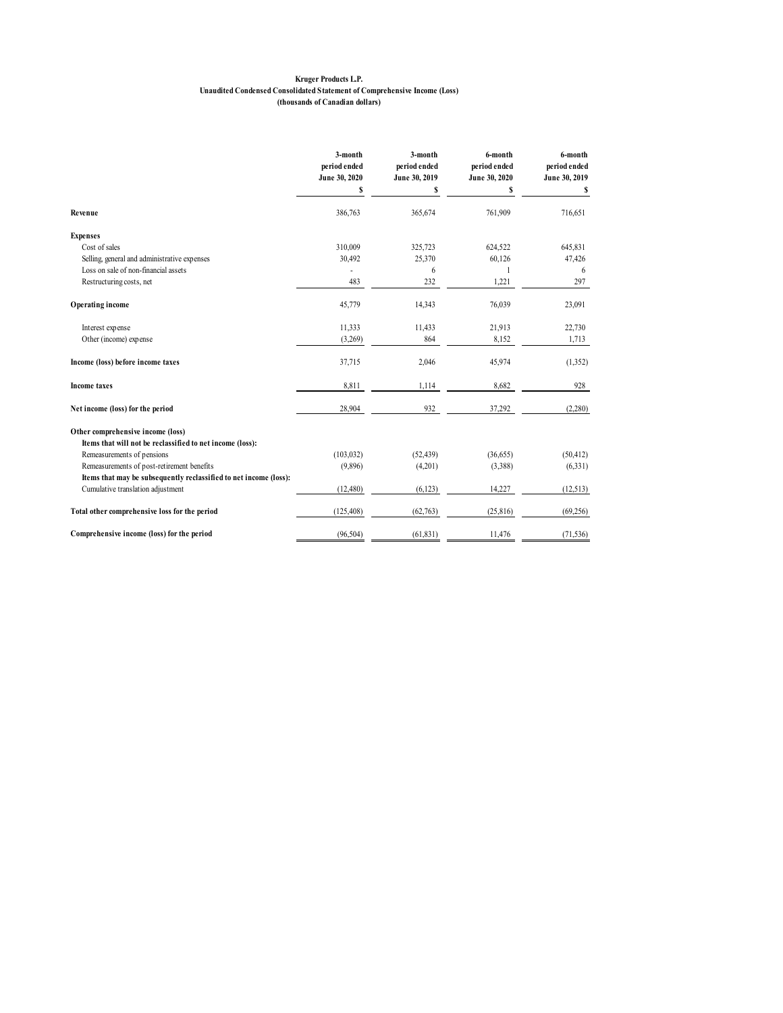#### **Kruger Products L.P. Unaudited Condensed Consolidated Statement of Comprehensive Income (Loss) (thousands of Canadian dollars)**

|                                                                                                | 3-month<br>period ended<br>June 30, 2020 | 3-month<br>period ended<br>June 30, 2019 | 6-month<br>period ended<br>June 30, 2020 | 6-month<br>period ended<br>June 30, 2019 |
|------------------------------------------------------------------------------------------------|------------------------------------------|------------------------------------------|------------------------------------------|------------------------------------------|
|                                                                                                | S                                        | \$                                       | S                                        | \$                                       |
| Revenue                                                                                        | 386,763                                  | 365,674                                  | 761,909                                  | 716,651                                  |
| <b>Expenses</b>                                                                                |                                          |                                          |                                          |                                          |
| Cost of sales                                                                                  | 310,009                                  | 325,723                                  | 624,522                                  | 645,831                                  |
| Selling, general and administrative expenses                                                   | 30,492                                   | 25,370                                   | 60,126                                   | 47,426                                   |
| Loss on sale of non-financial assets                                                           |                                          | 6                                        |                                          | 6                                        |
| Restructuring costs, net                                                                       | 483                                      | 232                                      | 1,221                                    | 297                                      |
| Operating income                                                                               | 45,779                                   | 14,343                                   | 76,039                                   | 23,091                                   |
| Interest expense                                                                               | 11,333                                   | 11,433                                   | 21,913                                   | 22,730                                   |
| Other (income) expense                                                                         | (3,269)                                  | 864                                      | 8,152                                    | 1,713                                    |
| Income (loss) before income taxes                                                              | 37,715                                   | 2,046                                    | 45,974                                   | (1, 352)                                 |
| <b>Income taxes</b>                                                                            | 8,811                                    | 1,114                                    | 8,682                                    | 928                                      |
| Net income (loss) for the period                                                               | 28,904                                   | 932                                      | 37,292                                   | (2,280)                                  |
| Other comprehensive income (loss)<br>Items that will not be reclassified to net income (loss): |                                          |                                          |                                          |                                          |
| Remeasurements of pensions                                                                     | (103, 032)                               | (52, 439)                                | (36, 655)                                | (50, 412)                                |
| Remeasurements of post-retirement benefits                                                     | (9,896)                                  | (4,201)                                  | (3,388)                                  | (6,331)                                  |
| Items that may be subsequently reclassified to net income (loss):                              |                                          |                                          |                                          |                                          |
| Cumulative translation adjustment                                                              | (12, 480)                                | (6, 123)                                 | 14,227                                   | (12, 513)                                |
| Total other comprehensive loss for the period                                                  | (125, 408)                               | (62, 763)                                | (25, 816)                                | (69, 256)                                |
| Comprehensive income (loss) for the period                                                     | (96, 504)                                | (61, 831)                                | 11,476                                   | (71, 536)                                |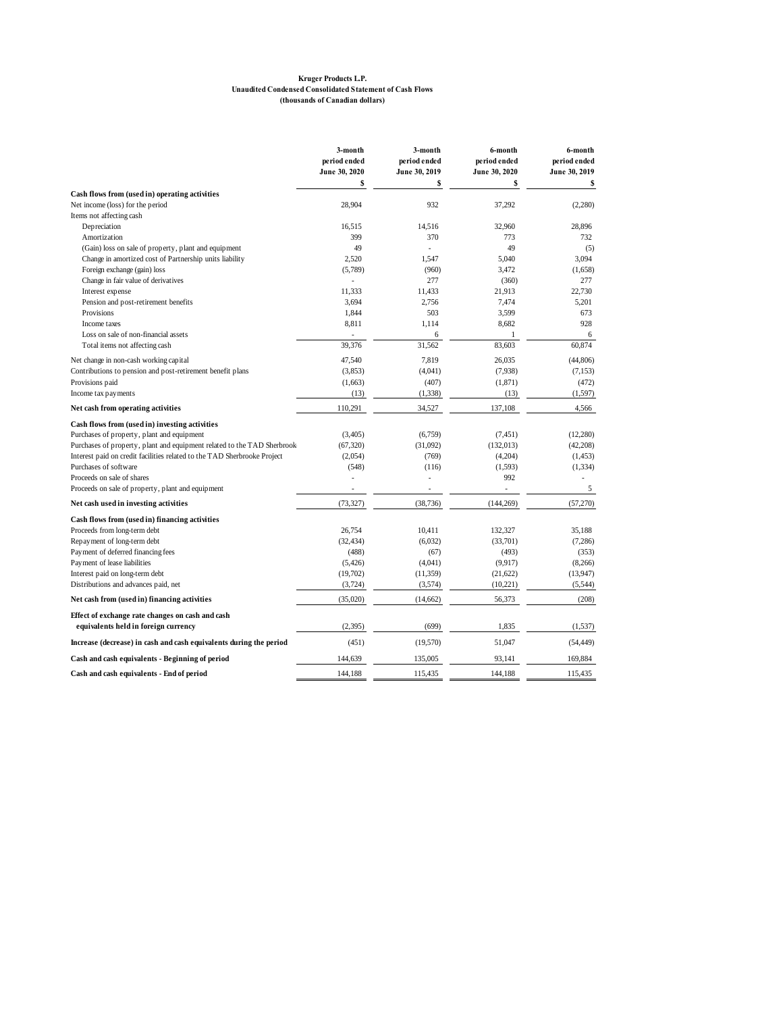#### **Kruger Products L.P. Unaudited Condensed Consolidated Statement of Cash Flows (thousands of Canadian dollars)**

|                                                                          | 3-month<br>period ended<br>June 30, 2020 | 3-month<br>period ended<br>June 30, 2019 | 6-month<br>period ended<br>June 30, 2020 | 6-month<br>period ended<br>June 30, 2019 |
|--------------------------------------------------------------------------|------------------------------------------|------------------------------------------|------------------------------------------|------------------------------------------|
|                                                                          | \$                                       | \$                                       | \$                                       | \$                                       |
| Cash flows from (used in) operating activities                           |                                          |                                          |                                          |                                          |
| Net income (loss) for the period                                         | 28,904                                   | 932                                      | 37,292                                   | (2,280)                                  |
| Items not affecting cash                                                 |                                          |                                          |                                          |                                          |
| Depreciation                                                             | 16,515                                   | 14,516                                   | 32,960                                   | 28,896                                   |
| Amortization                                                             | 399                                      | 370                                      | 773                                      | 732                                      |
| (Gain) loss on sale of property, plant and equipment                     | 49                                       | ÷,                                       | 49                                       | (5)                                      |
| Change in amortized cost of Partnership units liability                  | 2,520                                    | 1.547                                    | 5,040                                    | 3.094                                    |
| Foreign exchange (gain) loss                                             | (5,789)<br>J.                            | (960)<br>277                             | 3,472                                    | (1,658)<br>277                           |
| Change in fair value of derivatives                                      |                                          |                                          | (360)                                    | 22.730                                   |
| Interest expense<br>Pension and post-retirement benefits                 | 11,333<br>3,694                          | 11,433<br>2.756                          | 21,913<br>7,474                          | 5.201                                    |
| Provisions                                                               | 1,844                                    | 503                                      | 3,599                                    | 673                                      |
| Income taxes                                                             | 8,811                                    | 1,114                                    | 8,682                                    | 928                                      |
| Loss on sale of non-financial assets                                     | L,                                       | 6                                        | 1                                        | 6                                        |
| Total items not affecting cash                                           | 39,376                                   | 31,562                                   | 83,603                                   | 60,874                                   |
| Net change in non-cash working capital                                   | 47,540                                   | 7,819                                    | 26,035                                   | (44, 806)                                |
| Contributions to pension and post-retirement benefit plans               | (3,853)                                  | (4,041)                                  | (7,938)                                  | (7, 153)                                 |
| Provisions paid                                                          | (1,663)                                  | (407)                                    | (1, 871)                                 | (472)                                    |
| Income tax payments                                                      | (13)                                     | (1, 338)                                 | (13)                                     | (1, 597)                                 |
| Net cash from operating activities                                       | 110,291                                  | 34,527                                   | 137,108                                  | 4,566                                    |
| Cash flows from (used in) investing activities                           |                                          |                                          |                                          |                                          |
| Purchases of property, plant and equipment                               | (3, 405)                                 | (6,759)                                  | (7, 451)                                 | (12, 280)                                |
| Purchases of property, plant and equipment related to the TAD Sherbrook  | (67, 320)                                | (31,092)                                 | (132, 013)                               | (42, 208)                                |
| Interest paid on credit facilities related to the TAD Sherbrooke Project | (2,054)                                  | (769)                                    | (4,204)                                  | (1, 453)                                 |
| Purchases of software                                                    | (548)                                    | (116)                                    | (1, 593)                                 | (1, 334)                                 |
| Proceeds on sale of shares                                               |                                          | ä,                                       | 992                                      |                                          |
| Proceeds on sale of property, plant and equipment                        | ×.                                       | ÷                                        | ÷                                        | 5                                        |
| Net cash used in investing activities                                    | (73, 327)                                | (38, 736)                                | (144, 269)                               | (57, 270)                                |
| Cash flows from (used in) financing activities                           |                                          |                                          |                                          |                                          |
| Proceeds from long-term debt                                             | 26,754                                   | 10,411                                   | 132,327                                  | 35,188                                   |
| Repayment of long-term debt                                              | (32, 434)                                | (6,032)                                  | (33,701)                                 | (7,286)                                  |
| Payment of deferred financing fees                                       | (488)                                    | (67)                                     | (493)                                    | (353)                                    |
| Payment of lease liabilities                                             | (5, 426)                                 | (4,041)                                  | (9,917)                                  | (8, 266)                                 |
| Interest paid on long-term debt                                          | (19,702)                                 | (11, 359)                                | (21, 622)                                | (13, 947)                                |
| Distributions and advances paid, net                                     | (3,724)                                  | (3,574)                                  | (10, 221)                                | (5,544)                                  |
| Net cash from (used in) financing activities                             | (35,020)                                 | (14, 662)                                | 56,373                                   | (208)                                    |
| Effect of exchange rate changes on cash and cash                         |                                          |                                          |                                          |                                          |
| equivalents held in foreign currency                                     | (2, 395)                                 | (699)                                    | 1,835                                    | (1, 537)                                 |
| Increase (decrease) in cash and cash equivalents during the period       | (451)                                    | (19, 570)                                | 51,047                                   | (54, 449)                                |
| Cash and cash equivalents - Beginning of period                          | 144,639                                  | 135,005                                  | 93,141                                   | 169,884                                  |
| Cash and cash equivalents - End of period                                | 144.188                                  | 115,435                                  | 144.188                                  | 115,435                                  |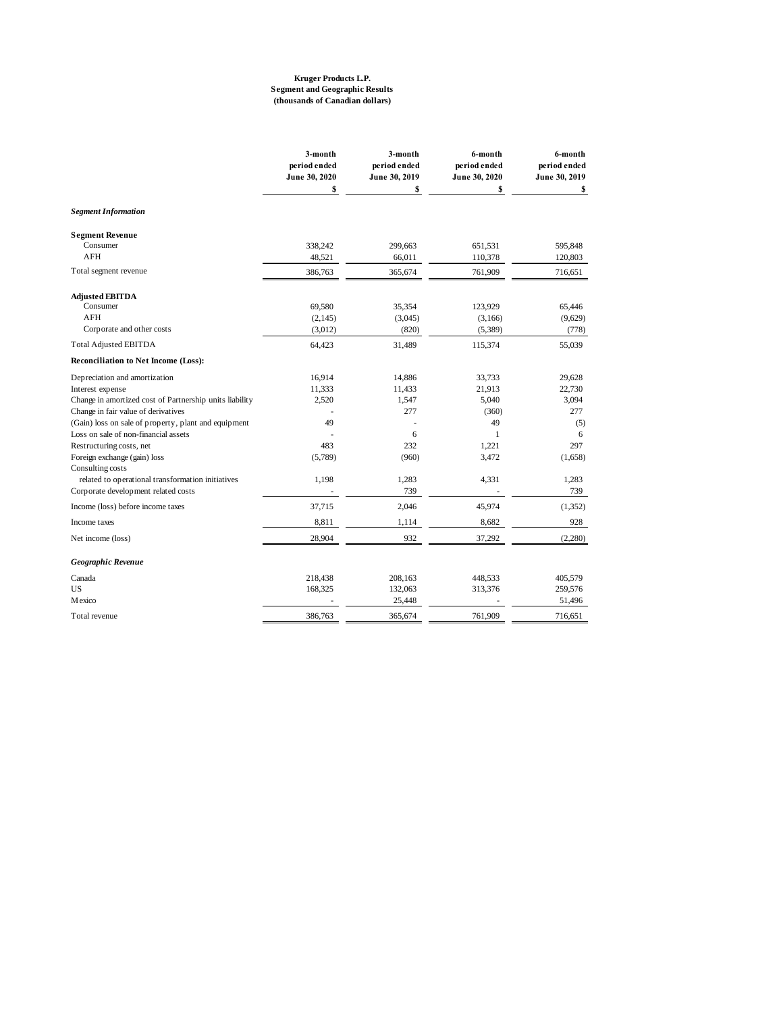#### **Kruger Products L.P. Segment and Geographic Results (thousands of Canadian dollars)**

|                                                                       | 3-month<br>period ended<br>June 30, 2020 | 3-month<br>period ended<br>June 30, 2019 | 6-month<br>period ended<br>June 30, 2020 | 6-month<br>period ended<br>June 30, 2019 |
|-----------------------------------------------------------------------|------------------------------------------|------------------------------------------|------------------------------------------|------------------------------------------|
|                                                                       | \$                                       | \$                                       | \$                                       | \$                                       |
| <b>Segment Information</b>                                            |                                          |                                          |                                          |                                          |
| <b>Segment Revenue</b>                                                |                                          |                                          |                                          |                                          |
| Consumer                                                              | 338,242                                  | 299,663                                  | 651,531                                  | 595,848                                  |
| AFH                                                                   | 48,521                                   | 66,011                                   | 110,378                                  | 120,803                                  |
| Total segment revenue                                                 | 386,763                                  | 365,674                                  | 761,909                                  | 716,651                                  |
| <b>Adjusted EBITDA</b>                                                |                                          |                                          |                                          |                                          |
| Consumer                                                              | 69,580                                   | 35,354                                   | 123,929                                  | 65,446                                   |
| <b>AFH</b>                                                            | (2,145)                                  | (3,045)                                  | (3,166)                                  | (9,629)                                  |
| Corporate and other costs                                             | (3,012)                                  | (820)                                    | (5,389)                                  | (778)                                    |
| <b>Total Adjusted EBITDA</b>                                          | 64,423                                   | 31,489                                   | 115,374                                  | 55,039                                   |
| <b>Reconciliation to Net Income (Loss):</b>                           |                                          |                                          |                                          |                                          |
| Depreciation and amortization                                         | 16,914                                   | 14,886                                   | 33,733                                   | 29,628                                   |
| Interest expense                                                      | 11,333                                   | 11,433                                   | 21,913                                   | 22,730                                   |
| Change in amortized cost of Partnership units liability               | 2,520                                    | 1,547                                    | 5,040                                    | 3,094                                    |
| Change in fair value of derivatives                                   |                                          | 277                                      | (360)                                    | 277                                      |
| (Gain) loss on sale of property, plant and equipment                  | 49                                       |                                          | 49                                       | (5)                                      |
| Loss on sale of non-financial assets                                  |                                          | 6                                        | 1                                        | 6                                        |
| Restructuring costs, net                                              | 483                                      | 232                                      | 1,221                                    | 297                                      |
| Foreign exchange (gain) loss                                          | (5,789)                                  | (960)                                    | 3,472                                    | (1,658)                                  |
| Consulting costs<br>related to operational transformation initiatives | 1,198                                    | 1,283                                    | 4,331                                    | 1,283                                    |
| Corporate development related costs                                   |                                          | 739                                      |                                          | 739                                      |
| Income (loss) before income taxes                                     | 37,715                                   | 2,046                                    | 45,974                                   | (1, 352)                                 |
| Income taxes                                                          | 8,811                                    | 1,114                                    | 8,682                                    | 928                                      |
| Net income (loss)                                                     | 28,904                                   | 932                                      | 37,292                                   | (2,280)                                  |
|                                                                       |                                          |                                          |                                          |                                          |
| Geographic Revenue                                                    |                                          |                                          |                                          |                                          |
| Canada                                                                | 218,438                                  | 208,163                                  | 448,533                                  | 405,579                                  |
| <b>US</b>                                                             | 168,325                                  | 132,063                                  | 313,376                                  | 259,576                                  |
| Mexico                                                                |                                          | 25,448                                   |                                          | 51,496                                   |
| Total revenue                                                         | 386,763                                  | 365,674                                  | 761,909                                  | 716.651                                  |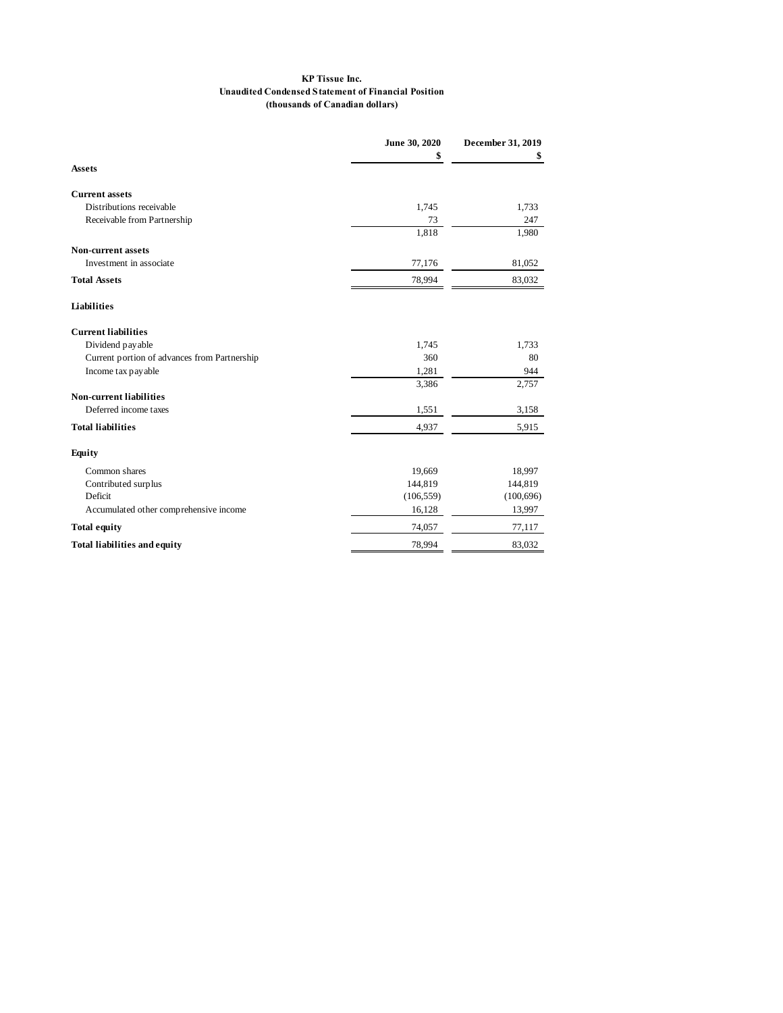#### **KP Tissue Inc. Unaudited Condensed Statement of Financial Position (thousands of Canadian dollars)**

|                                              | June 30, 2020 | December 31, 2019 |
|----------------------------------------------|---------------|-------------------|
| <b>Assets</b>                                | \$            | \$                |
| <b>Current assets</b>                        |               |                   |
| Distributions receivable                     | 1,745         | 1,733             |
| Receivable from Partnership                  | 73            | 247               |
|                                              | 1,818         | 1,980             |
| <b>Non-current assets</b>                    |               |                   |
| Investment in associate                      | 77,176        | 81,052            |
| <b>Total Assets</b>                          | 78,994        | 83,032            |
| Liabilities                                  |               |                   |
| <b>Current liabilities</b>                   |               |                   |
| Dividend payable                             | 1,745         | 1,733             |
| Current portion of advances from Partnership | 360           | 80                |
| Income tax payable                           | 1,281         | 944               |
|                                              | 3,386         | 2,757             |
| <b>Non-current liabilities</b>               |               |                   |
| Deferred income taxes                        | 1,551         | 3,158             |
| <b>Total liabilities</b>                     | 4,937         | 5,915             |
| Equity                                       |               |                   |
| Common shares                                | 19,669        | 18,997            |
| Contributed surplus                          | 144,819       | 144,819           |
| Deficit                                      | (106, 559)    | (100, 696)        |
| Accumulated other comprehensive income       | 16,128        | 13,997            |
| <b>Total equity</b>                          | 74,057        | 77,117            |
| <b>Total liabilities and equity</b>          | 78,994        | 83,032            |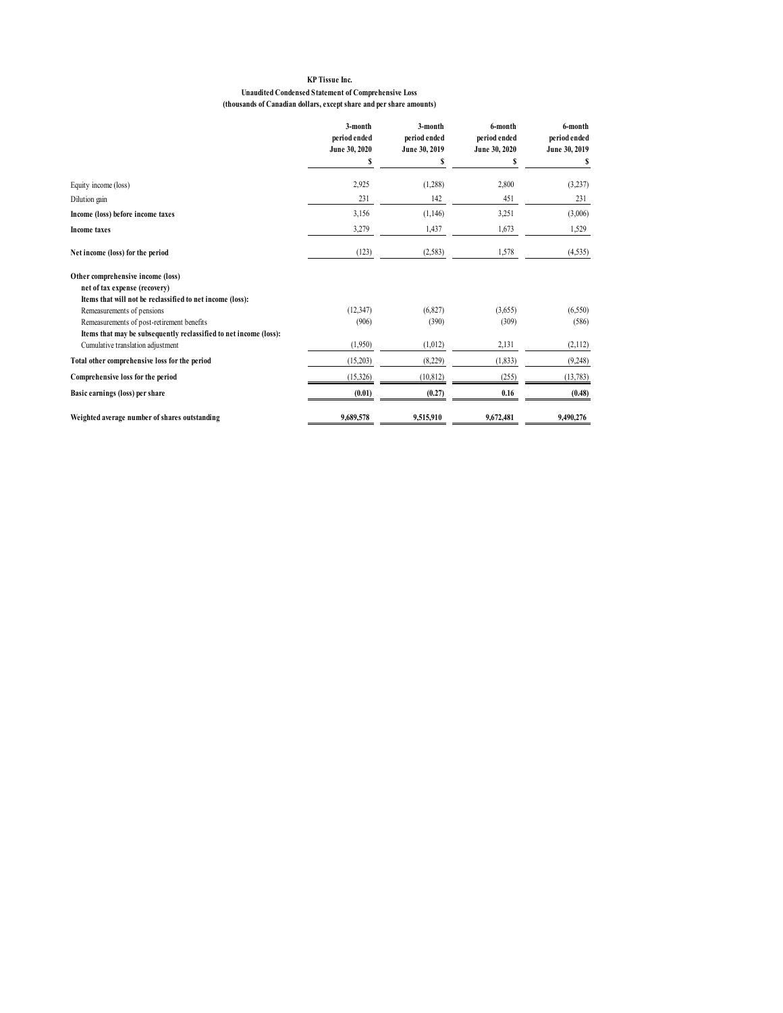#### **KP Tissue Inc.**

#### **Unaudited Condensed Statement of Comprehensive Loss (thousands of Canadian dollars, except share and per share amounts)**

|                                                                   | 3-month<br>period ended<br>June 30, 2020<br>S | 3-month<br>period ended<br>June 30, 2019 | 6-month<br>period ended<br>June 30, 2020<br>S | 6-month<br>period ended<br>June 30, 2019<br>S |
|-------------------------------------------------------------------|-----------------------------------------------|------------------------------------------|-----------------------------------------------|-----------------------------------------------|
|                                                                   |                                               | S                                        |                                               |                                               |
| Equity income (loss)                                              | 2,925                                         | (1,288)                                  | 2,800                                         | (3,237)                                       |
| Dilution gain                                                     | 231                                           | 142                                      | 451                                           | 231                                           |
| Income (loss) before income taxes                                 | 3,156                                         | (1,146)                                  | 3,251                                         | (3,006)                                       |
| <b>Income taxes</b>                                               | 3,279                                         | 1,437                                    | 1,673                                         | 1,529                                         |
| Net income (loss) for the period                                  | (123)                                         | (2, 583)                                 | 1,578                                         | (4,535)                                       |
| Other comprehensive income (loss)                                 |                                               |                                          |                                               |                                               |
| net of tax expense (recovery)                                     |                                               |                                          |                                               |                                               |
| Items that will not be reclassified to net income (loss):         |                                               |                                          |                                               |                                               |
| Remeasurements of pensions                                        | (12, 347)                                     | (6,827)                                  | (3,655)                                       | (6, 550)                                      |
| Remeasurements of post-retirement benefits                        | (906)                                         | (390)                                    | (309)                                         | (586)                                         |
| Items that may be subsequently reclassified to net income (loss): |                                               |                                          |                                               |                                               |
| Cumulative translation adjustment                                 | (1,950)                                       | (1,012)                                  | 2,131                                         | (2,112)                                       |
| Total other comprehensive loss for the period                     | (15,203)                                      | (8,229)                                  | (1, 833)                                      | (9,248)                                       |
| Comprehensive loss for the period                                 | (15,326)                                      | (10, 812)                                | (255)                                         | (13, 783)                                     |
| Basic earnings (loss) per share                                   | (0.01)                                        | (0.27)                                   | 0.16                                          | (0.48)                                        |
| Weighted average number of shares outstanding                     | 9,689,578                                     | 9,515,910                                | 9,672,481                                     | 9.490.276                                     |